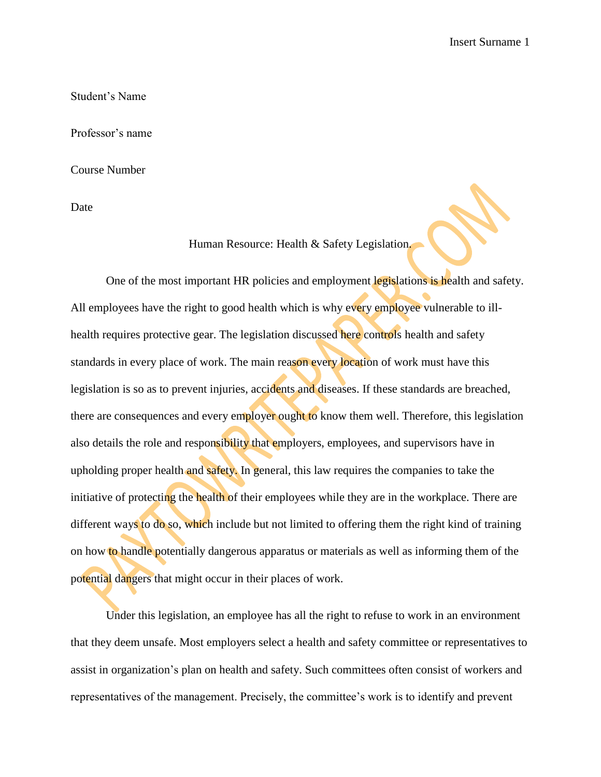## Student's Name

Professor's name

Course Number

Date

Human Resource: Health & Safety Legislation.

One of the most important HR policies and employment legislations is health and safety. All employees have the right to good health which is why every employee vulnerable to illhealth requires protective gear. The legislation discussed here controls health and safety standards in every place of work. The main reason every location of work must have this legislation is so as to prevent injuries, accidents and diseases. If these standards are breached, there are consequences and every employer ought to know them well. Therefore, this legislation also details the role and responsibility that employers, employees, and supervisors have in upholding proper health and safety. In general, this law requires the companies to take the initiative of protecting the health of their employees while they are in the workplace. There are different ways to do so, which include but not limited to offering them the right kind of training on how to handle potentially dangerous apparatus or materials as well as informing them of the potential dangers that might occur in their places of work.

Under this legislation, an employee has all the right to refuse to work in an environment that they deem unsafe. Most employers select a health and safety committee or representatives to assist in organization's plan on health and safety. Such committees often consist of workers and representatives of the management. Precisely, the committee's work is to identify and prevent